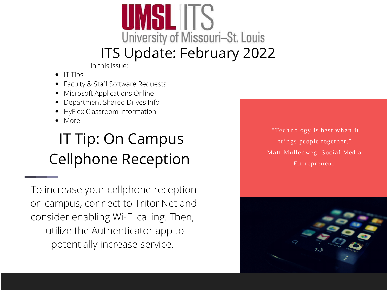# University of Missouri-St. Louis ITS Update: February 2022

In this issue:

- IT Tips
- Faculty & Staff Software Requests
- Microsoft Applications Online
- Department Shared Drives Info
- HyFlex Classroom Information
- More

#### IT Tip: On Campus Cellphone Reception

To increase your cellphone reception on campus, connect to TritonNet and consider enabling Wi-Fi calling. Then, utilize the Authenticator app to potentially increase service.

"Technology is best when it brings people together." Matt Mullenweg, Social Media Entrepreneur

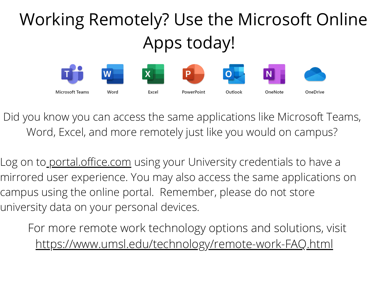## Working Remotely? Use the Microsoft Online Apps today!



Did you know you can access the same applications like Microsoft Teams, Word, Excel, and more remotely just like you would on campus?

Log on to <u>portal.office.com</u> using your University credentials to have a mirrored user experience. You may also access the same applications on campus using the online portal. Remember, please do not store university data on your personal devices.

For more remote work technology options and solutions, visit <https://www.umsl.edu/technology/remote-work-FAQ.html>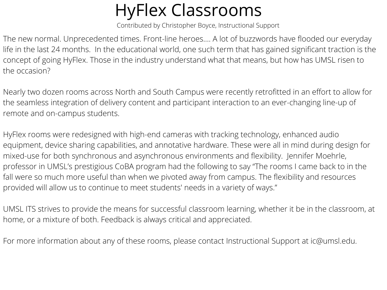### HyFlex Classrooms

Contributed by Christopher Boyce, Instructional Support

The new normal. Unprecedented times. Front-line heroes…. A lot of buzzwords have flooded our everyday life in the last 24 months. In the educational world, one such term that has gained significant traction is the concept of going HyFlex. Those in the industry understand what that means, but how has UMSL risen to the occasion?

Nearly two dozen rooms across North and South Campus were recently retrofitted in an effort to allow for the seamless integration of delivery content and participant interaction to an ever-changing line-up of remote and on-campus students.

HyFlex rooms were redesigned with high-end cameras with tracking technology, enhanced audio equipment, device sharing capabilities, and annotative hardware. These were all in mind during design for mixed-use for both synchronous and asynchronous environments and flexibility. Jennifer Moehrle, professor in UMSL's prestigious CoBA program had the following to say "The rooms I came back to in the fall were so much more useful than when we pivoted away from campus. The flexibility and resources provided will allow us to continue to meet students' needs in a variety of ways."

UMSL ITS strives to provide the means for successful classroom learning, whether it be in the classroom, at home, or a mixture of both. Feedback is always critical and appreciated.

For more information about any of these rooms, please contact Instructional Support at ic@umsl.edu.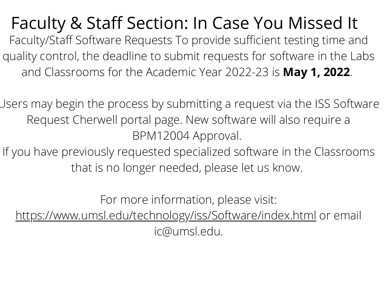Faculty & Staff Section: In Case You Missed It Faculty/Staff Software Requests To provide sufficient testing time and quality control, the deadline to submit requests for software in the Labs and Classrooms for the Academic Year 2022-23 is **May 1, 2022**.

Users may begin the process by submitting a request via the ISS Software Request Cherwell portal page. New software will also require a BPM12004 Approval.

If you have previously requested specialized software in the Classrooms that is no longer needed, please let us know.

For more information, please visit:

<https://www.umsl.edu/technology/iss/Software/index.html> or email ic@umsl.edu.